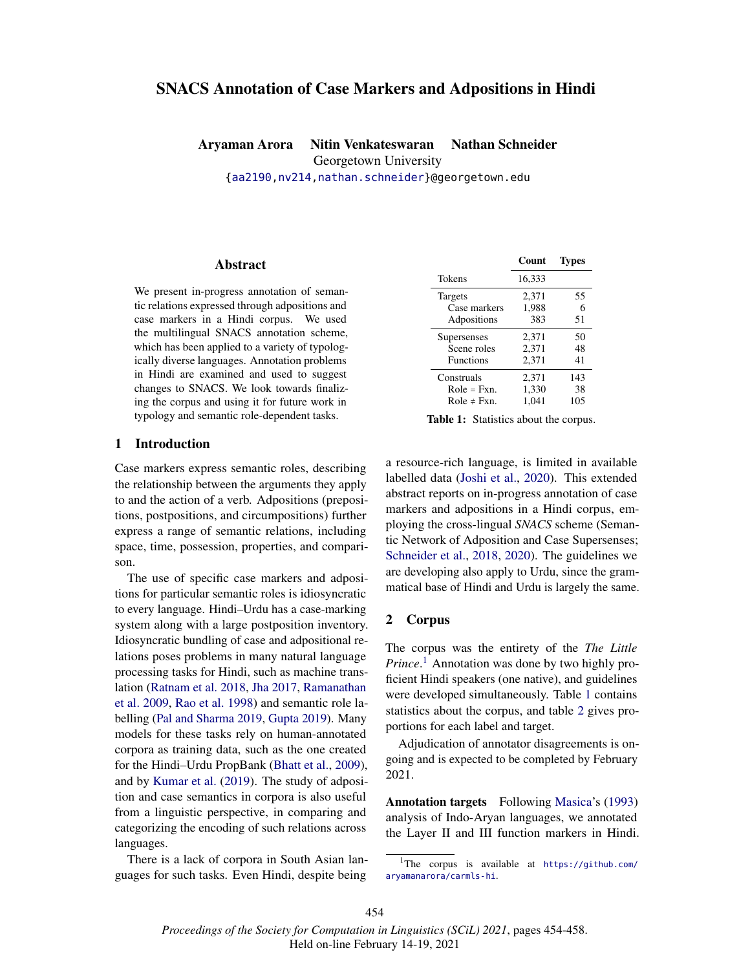# SNACS Annotation of Case Markers and Adpositions in Hindi

Aryaman Arora Nitin Venkateswaran Nathan Schneider Georgetown University {aa2190,nv214,nathan.schneider}@georgetown.edu

### Abstract

We present in-progress annotation of semantic relations expressed through adpositions and case markers in a Hindi corpus. We used the multilingual SNACS annotation scheme, which has been applied to a variety of typologically diverse languages. Annotation problems in Hindi are examined and used to suggest changes to SNACS. We look towards finalizing the corpus and using it for future work in typology and semantic role-dependent tasks.

## 1 Introduction

Case markers express semantic roles, describing the relationship between the arguments they apply to and the action of a verb. Adpositions (prepositions, postpositions, and circumpositions) further express a range of semantic relations, including space, time, possession, properties, and comparison.

The use of specific case markers and adpositions for particular semantic roles is idiosyncratic to every language. Hindi–Urdu has a case-marking system along with a large postposition inventory. Idiosyncratic bundling of case and adpositional relations poses problems in many natural language processing tasks for Hindi, such as machine translation (Ratnam et al. 2018, Jha 2017, Ramanathan et al. 2009, Rao et al. 1998) and semantic role labelling (Pal and Sharma 2019, Gupta 2019). Many models for these tasks rely on human-annotated corpora as training data, such as the one created for the Hindi–Urdu PropBank (Bhatt et al., 2009), and by Kumar et al. (2019). The study of adposition and case semantics in corpora is also useful from a linguistic perspective, in comparing and categorizing the encoding of such relations across languages.

There is a lack of corpora in South Asian languages for such tasks. Even Hindi, despite being

|                  | Count  | Types |
|------------------|--------|-------|
| Tokens           | 16,333 |       |
| Targets          | 2,371  | 55    |
| Case markers     | 1,988  | 6     |
| Adpositions      | 383    | 51    |
| Supersenses      | 2,371  | 50    |
| Scene roles      | 2,371  | 48    |
| <b>Functions</b> | 2,371  | 41    |
| Construals       | 2,371  | 143   |
| $Role = Fxn.$    | 1,330  | 38    |
| Role $\neq$ Fxn. | 1.041  | 105   |

Table 1: Statistics about the corpus.

a resource-rich language, is limited in available labelled data (Joshi et al., 2020). This extended abstract reports on in-progress annotation of case markers and adpositions in a Hindi corpus, employing the cross-lingual *SNACS* scheme (Semantic Network of Adposition and Case Supersenses; Schneider et al., 2018, 2020). The guidelines we are developing also apply to Urdu, since the grammatical base of Hindi and Urdu is largely the same.

### 2 Corpus

The corpus was the entirety of the *The Little Prince*. <sup>1</sup> Annotation was done by two highly proficient Hindi speakers (one native), and guidelines were developed simultaneously. Table 1 contains statistics about the corpus, and table 2 gives proportions for each label and target.

Adjudication of annotator disagreements is ongoing and is expected to be completed by February 2021.

Annotation targets Following Masica's (1993) analysis of Indo-Aryan languages, we annotated the Layer II and III function markers in Hindi.

<sup>1</sup>The corpus is available at https://github.com/ aryamanarora/carmls-hi.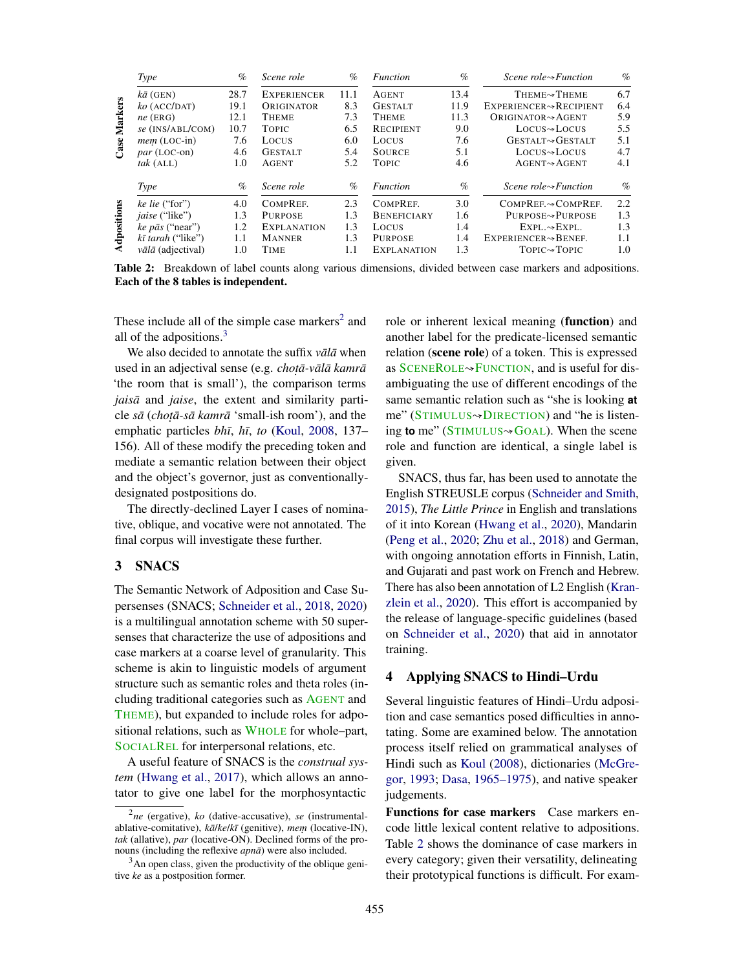|             | <b>Type</b>                     | $\%$ | Scene role         | $\%$ | <i>Function</i>    | $\%$ | Scene role $\rightsquigarrow$ Function   | $\%$ |
|-------------|---------------------------------|------|--------------------|------|--------------------|------|------------------------------------------|------|
|             | $k\bar{a}$ (GEN)                | 28.7 | <b>EXPERIENCER</b> | 11.1 | <b>AGENT</b>       | 13.4 | THEME <sub><sup>*</sup>THEME</sub>       | 6.7  |
|             | $ko$ (ACC/DAT)                  | 19.1 | ORIGINATOR         | 8.3  | <b>GESTALT</b>     | 11.9 | EXPERIENCER~RECIPIENT                    | 6.4  |
|             | $ne$ (ERG)                      | 12.1 | <b>THEME</b>       | 7.3  | <b>THEME</b>       | 11.3 | ORIGINATOR $\rightsquigarrow$ AGENT      | 5.9  |
| Markers     | se (INS/ABL/COM)                | 10.7 | <b>TOPIC</b>       | 6.5  | <b>RECIPIENT</b>   | 9.0  | $Locus \rightarrow Locus$                | 5.5  |
|             | $mem (LOC-in)$                  | 7.6  | LOCUS              | 6.0  | <b>LOCUS</b>       | 7.6  | <b>GESTALT GESTALT</b>                   | 5.1  |
| Case        | $par$ (LOC-on)                  | 4.6  | <b>GESTALT</b>     | 5.4  | <b>SOURCE</b>      | 5.1  | $Locus \rightarrow Locus$                | 4.7  |
|             | $tak$ (ALL)                     | 1.0  | <b>AGENT</b>       | 5.2  | <b>TOPIC</b>       | 4.6  | $AGENT \rightarrow AGENT$                | 4.1  |
|             | <b>Type</b>                     | $\%$ | Scene role         | $\%$ | <i>Function</i>    | $\%$ | <i>Scene role</i> $\rightarrow$ Function | $\%$ |
|             | ke lie ("for")                  | 4.0  | COMPREF.           | 2.3  | COMPREE.           | 3.0  | COMPREF.~COMPREF.                        | 2.2  |
|             | <i>jaise</i> ("like")           | 1.3  | <b>PURPOSE</b>     | 1.3  | <b>BENEFICIARY</b> | 1.6  | <b>PURPOSE→PURPOSE</b>                   | 1.3  |
| Adpositions | $ke$ $p\bar{a}s$ ("near")       | 1.2  | EXPLANATION        | 1.3  | LOCUS              | 1.4  | $EXPL.\rightarrow EXPL.$                 | 1.3  |
|             | kī tarah ("like")               | 1.1  | <b>MANNER</b>      | 1.3  | <b>PURPOSE</b>     | 1.4  | EXPERIENCER~BENEF.                       | 1.1  |
|             | $v\bar{a}l\bar{a}$ (adjectival) | 1.0  | TIME               | 1.1  | <b>EXPLANATION</b> | 1.3  | $Topic \rightarrow Topic$                | 1.0  |

Table 2: Breakdown of label counts along various dimensions, divided between case markers and adpositions. Each of the 8 tables is independent.

These include all of the simple case markers<sup>2</sup> and all of the adpositions. $3$ 

We also decided to annotate the suffix *vala* when used in an adjectival sense (e.g. *choṭā-vālā kamrā* 'the room that is small'), the comparison terms *jaisā* and *jaise*, the extent and similarity particle *sa¯* (*chot .a-s ¯ a kamr ¯ a¯* 'small-ish room'), and the emphatic particles *bhī*, *hī*, *to* (Koul, 2008, 137– 156). All of these modify the preceding token and mediate a semantic relation between their object and the object's governor, just as conventionallydesignated postpositions do.

The directly-declined Layer I cases of nominative, oblique, and vocative were not annotated. The final corpus will investigate these further.

## 3 SNACS

The Semantic Network of Adposition and Case Supersenses (SNACS; Schneider et al., 2018, 2020) is a multilingual annotation scheme with 50 supersenses that characterize the use of adpositions and case markers at a coarse level of granularity. This scheme is akin to linguistic models of argument structure such as semantic roles and theta roles (including traditional categories such as AGENT and THEME), but expanded to include roles for adpositional relations, such as WHOLE for whole–part, SOCIALREL for interpersonal relations, etc.

A useful feature of SNACS is the *construal system* (Hwang et al., 2017), which allows an annotator to give one label for the morphosyntactic

role or inherent lexical meaning (function) and another label for the predicate-licensed semantic relation (scene role) of a token. This is expressed as SCENEROLE→FUNCTION, and is useful for disambiguating the use of different encodings of the same semantic relation such as "she is looking **at** me" (STIMULUS<sup></sup>→DIRECTION) and "he is listening **to** me" (STIMULUS<sup></sup><sup>→</sup>GOAL). When the scene role and function are identical, a single label is given.

SNACS, thus far, has been used to annotate the English STREUSLE corpus (Schneider and Smith, 2015), *The Little Prince* in English and translations of it into Korean (Hwang et al., 2020), Mandarin (Peng et al., 2020; Zhu et al., 2018) and German, with ongoing annotation efforts in Finnish, Latin, and Gujarati and past work on French and Hebrew. There has also been annotation of L2 English (Kranzlein et al., 2020). This effort is accompanied by the release of language-specific guidelines (based on Schneider et al., 2020) that aid in annotator training.

#### 4 Applying SNACS to Hindi–Urdu

Several linguistic features of Hindi–Urdu adposition and case semantics posed difficulties in annotating. Some are examined below. The annotation process itself relied on grammatical analyses of Hindi such as Koul (2008), dictionaries (McGregor, 1993; Dasa, 1965–1975), and native speaker judgements.

Functions for case markers Case markers encode little lexical content relative to adpositions. Table 2 shows the dominance of case markers in every category; given their versatility, delineating their prototypical functions is difficult. For exam-

<sup>2</sup> *ne* (ergative), *ko* (dative-accusative), *se* (instrumentalablative-comitative),  $k\bar{a}/k\bar{e}/k\bar{i}$  (genitive), *mem* (locative-IN), *tak* (allative), *par* (locative-ON). Declined forms of the pronouns (including the reflexive *apna¯*) were also included.

 $3<sup>3</sup>$ An open class, given the productivity of the oblique genitive *ke* as a postposition former.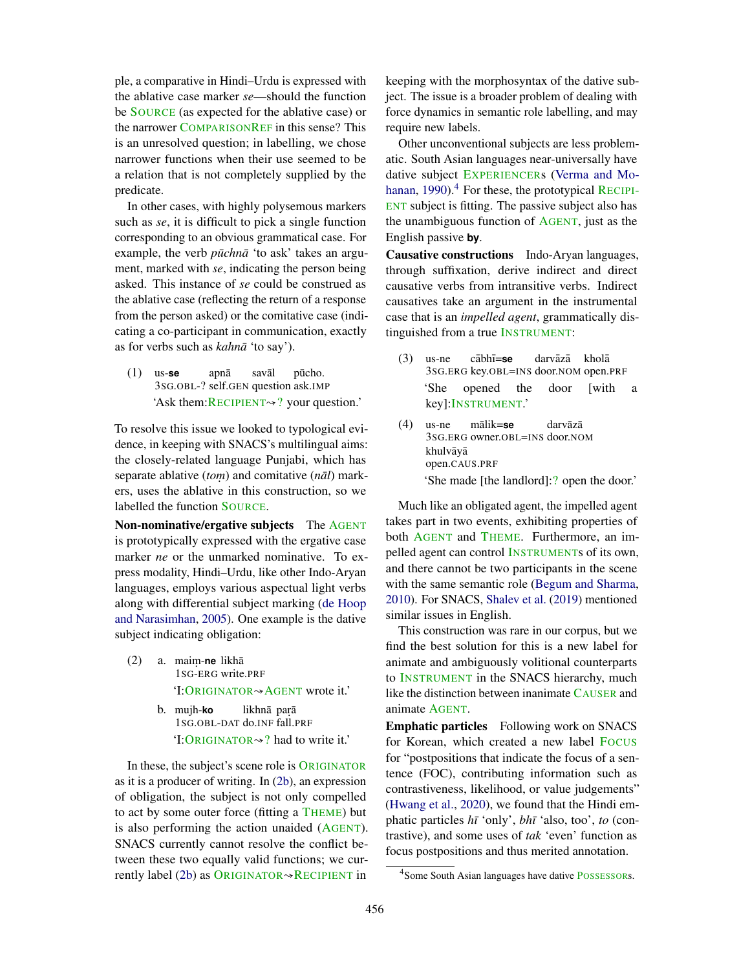ple, a comparative in Hindi–Urdu is expressed with the ablative case marker *se*—should the function be SOURCE (as expected for the ablative case) or the narrower COMPARISONREF in this sense? This is an unresolved question; in labelling, we chose narrower functions when their use seemed to be a relation that is not completely supplied by the predicate.

In other cases, with highly polysemous markers such as *se*, it is difficult to pick a single function corresponding to an obvious grammatical case. For example, the verb *pūchnā* 'to ask' takes an argument, marked with *se*, indicating the person being asked. This instance of *se* could be construed as the ablative case (reflecting the return of a response from the person asked) or the comitative case (indicating a co-participant in communication, exactly as for verbs such as *kahnā* 'to say').

(1) us-**se** 3SG.OBL-? self.GEN question ask.IMP apna¯ saval¯ pūcho. 'Ask them:RECIPIENT↝? your question.'

To resolve this issue we looked to typological evidence, in keeping with SNACS's multilingual aims: the closely-related language Punjabi, which has separate ablative (*tom*) and comitative (*nal*) markers, uses the ablative in this construction, so we labelled the function SOURCE.

Non-nominative/ergative subjects The AGENT is prototypically expressed with the ergative case marker *ne* or the unmarked nominative. To express modality, Hindi–Urdu, like other Indo-Aryan languages, employs various aspectual light verbs along with differential subject marking (de Hoop and Narasimhan, 2005). One example is the dative subject indicating obligation:

- (2) a. maim. -**ne** likha¯ 1SG-ERG write.PRF 'I:ORIGINATOR<sup>√</sup>AGENT wrote it.'
	- b. mujh-**ko** 1SG.OBL-DAT do.INF fall.PRF likhnā paŗā 'I:ORIGINATOR $\rightsquigarrow$ ? had to write it.'

In these, the subject's scene role is ORIGINATOR as it is a producer of writing. In (2b), an expression of obligation, the subject is not only compelled to act by some outer force (fitting a THEME) but is also performing the action unaided (AGENT). SNACS currently cannot resolve the conflict between these two equally valid functions; we currently label (2b) as ORIGINATOR  $\rightsquigarrow$  RECIPIENT in

keeping with the morphosyntax of the dative subject. The issue is a broader problem of dealing with force dynamics in semantic role labelling, and may require new labels.

Other unconventional subjects are less problematic. South Asian languages near-universally have dative subject EXPERIENCERs (Verma and Mohanan, 1990). $^{4}$  For these, the prototypical RECIPI-ENT subject is fitting. The passive subject also has the unambiguous function of AGENT, just as the English passive **by**.

Causative constructions Indo-Aryan languages, through suffixation, derive indirect and direct causative verbs from intransitive verbs. Indirect causatives take an argument in the instrumental case that is an *impelled agent*, grammatically distinguished from a true INSTRUMENT:

- (3) us-ne 3SG.ERG key.OBL=INS door.NOM open.PRF cābhī=se darvāzā kholā 'She opened the door [with a key]:INSTRUMENT.'
- (4) us-ne 3SG.ERG owner.OBL=INS door.NOM malik= ¯ **se** darvāzā khulvāyā open.CAUS.PRF 'She made [the landlord]:? open the door.'

Much like an obligated agent, the impelled agent takes part in two events, exhibiting properties of both AGENT and THEME. Furthermore, an impelled agent can control INSTRUMENTs of its own, and there cannot be two participants in the scene with the same semantic role (Begum and Sharma, 2010). For SNACS, Shalev et al. (2019) mentioned similar issues in English.

This construction was rare in our corpus, but we find the best solution for this is a new label for animate and ambiguously volitional counterparts to INSTRUMENT in the SNACS hierarchy, much like the distinction between inanimate CAUSER and animate AGENT.

Emphatic particles Following work on SNACS for Korean, which created a new label FOCUS for "postpositions that indicate the focus of a sentence (FOC), contributing information such as contrastiveness, likelihood, or value judgements" (Hwang et al., 2020), we found that the Hindi emphatic particles  $h\bar{i}$  'only',  $bh\bar{i}$  'also, too', *to* (contrastive), and some uses of *tak* 'even' function as focus postpositions and thus merited annotation.

<sup>&</sup>lt;sup>4</sup> Some South Asian languages have dative POSSESSORs.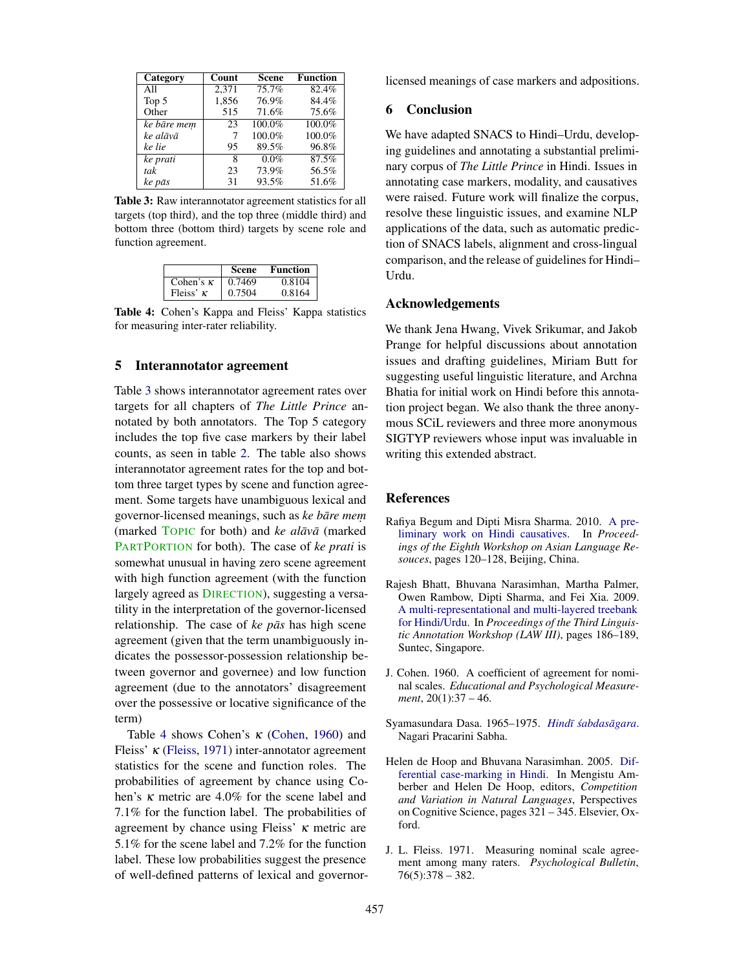| Category    | Count | <b>Scene</b> | <b>Function</b> |
|-------------|-------|--------------|-----------------|
| All         | 2.371 | 75.7%        | 82.4%           |
| Top 5       | 1,856 | 76.9%        | 84.4%           |
| Other       | 515   | 71.6%        | 75.6%           |
| ke bāre mem | 23    | $100.0\%$    | 100.0%          |
| ke alāvā    | 7     | 100.0%       | 100.0%          |
| ke lie      | 95    | 89.5%        | 96.8%           |
| ke prati    | 8     | 0.0%         | 87.5%           |
| tak         | 23    | 73.9%        | 56.5%           |
| ke pās      | 31    | 93.5%        | 51.6%           |

Table 3: Raw interannotator agreement statistics for all targets (top third), and the top three (middle third) and bottom three (bottom third) targets by scene role and function agreement.

|                  | Scene  | Function |
|------------------|--------|----------|
| Cohen's $\kappa$ | 0.7469 | 0.8104   |
| Fleiss' $\kappa$ | 0.7504 | 0.8164   |

Table 4: Cohen's Kappa and Fleiss' Kappa statistics for measuring inter-rater reliability.

#### 5 Interannotator agreement

Table 3 shows interannotator agreement rates over targets for all chapters of *The Little Prince* annotated by both annotators. The Top 5 category includes the top five case markers by their label counts, as seen in table 2. The table also shows interannotator agreement rates for the top and bottom three target types by scene and function agreement. Some targets have unambiguous lexical and governor-licensed meanings, such as *ke bāre mem* (marked TOPIC for both) and *ke alāvā* (marked PARTPORTION for both). The case of *ke prati* is somewhat unusual in having zero scene agreement with high function agreement (with the function largely agreed as DIRECTION), suggesting a versatility in the interpretation of the governor-licensed relationship. The case of *ke pās* has high scene agreement (given that the term unambiguously indicates the possessor-possession relationship between governor and governee) and low function agreement (due to the annotators' disagreement over the possessive or locative significance of the term)

Table 4 shows Cohen's κ (Cohen, 1960) and Fleiss'  $\kappa$  (Fleiss, 1971) inter-annotator agreement statistics for the scene and function roles. The probabilities of agreement by chance using Cohen's κ metric are 4.0% for the scene label and 7.1% for the function label. The probabilities of agreement by chance using Fleiss'  $\kappa$  metric are 5.1% for the scene label and 7.2% for the function label. These low probabilities suggest the presence of well-defined patterns of lexical and governorlicensed meanings of case markers and adpositions.

#### 6 Conclusion

We have adapted SNACS to Hindi–Urdu, developing guidelines and annotating a substantial preliminary corpus of *The Little Prince* in Hindi. Issues in annotating case markers, modality, and causatives were raised. Future work will finalize the corpus, resolve these linguistic issues, and examine NLP applications of the data, such as automatic prediction of SNACS labels, alignment and cross-lingual comparison, and the release of guidelines for Hindi– Urdu.

### Acknowledgements

We thank Jena Hwang, Vivek Srikumar, and Jakob Prange for helpful discussions about annotation issues and drafting guidelines, Miriam Butt for suggesting useful linguistic literature, and Archna Bhatia for initial work on Hindi before this annotation project began. We also thank the three anonymous SCiL reviewers and three more anonymous SIGTYP reviewers whose input was invaluable in writing this extended abstract.

## References

- Rafiya Begum and Dipti Misra Sharma. 2010. A preliminary work on Hindi causatives. In *Proceedings of the Eighth Workshop on Asian Language Resouces*, pages 120–128, Beijing, China.
- Rajesh Bhatt, Bhuvana Narasimhan, Martha Palmer, Owen Rambow, Dipti Sharma, and Fei Xia. 2009. A multi-representational and multi-layered treebank for Hindi/Urdu. In *Proceedings of the Third Linguistic Annotation Workshop (LAW III)*, pages 186–189, Suntec, Singapore.
- J. Cohen. 1960. A coefficient of agreement for nominal scales. *Educational and Psychological Measurement*, 20(1):37 – 46.
- Syamasundara Dasa. 1965–1975. *Hindī śabdasāgara*. Nagari Pracarini Sabha.
- Helen de Hoop and Bhuvana Narasimhan. 2005. Differential case-marking in Hindi. In Mengistu Amberber and Helen De Hoop, editors, *Competition and Variation in Natural Languages*, Perspectives on Cognitive Science, pages 321 – 345. Elsevier, Oxford.
- J. L. Fleiss. 1971. Measuring nominal scale agreement among many raters. *Psychological Bulletin*, 76(5):378 – 382.